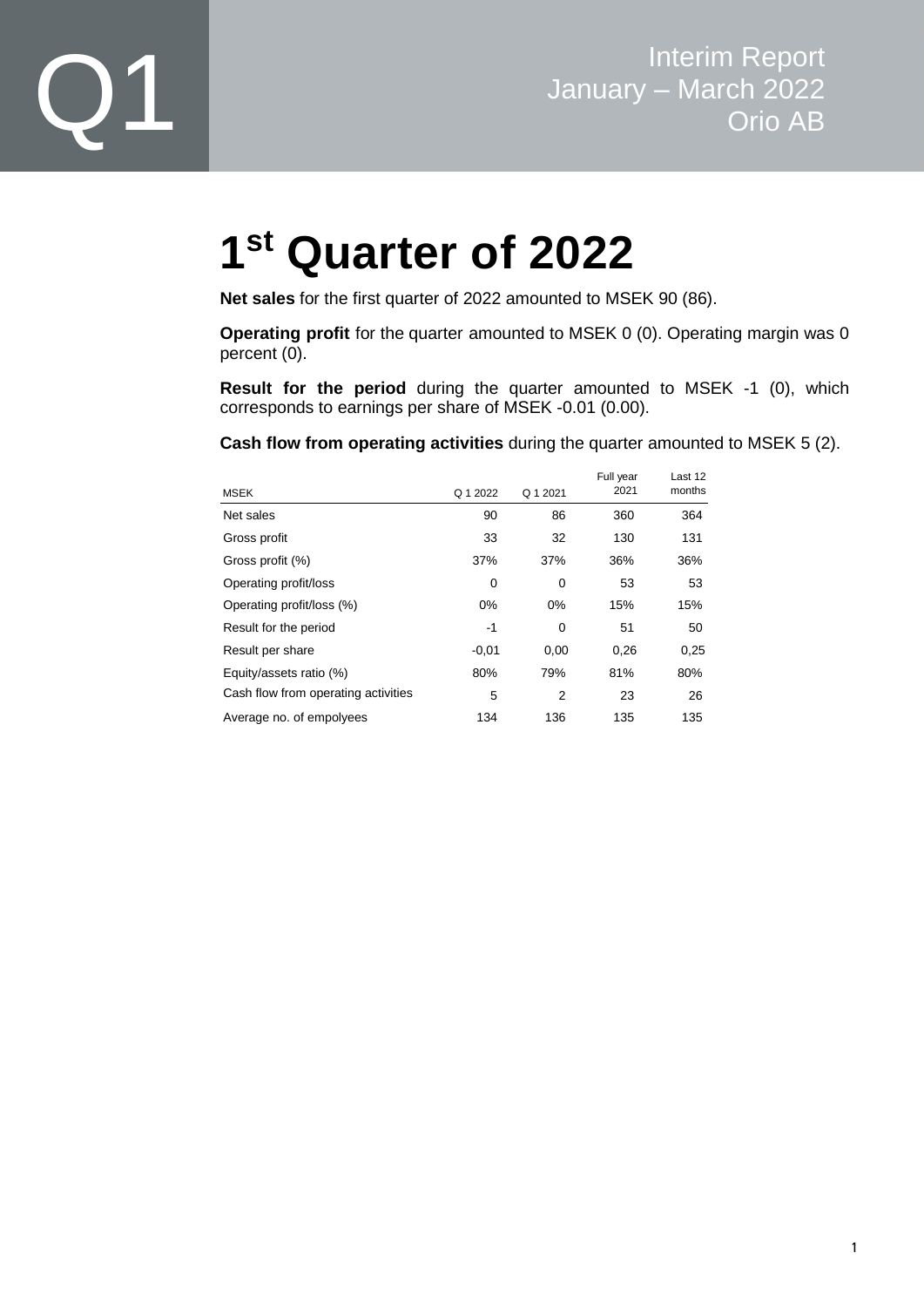

# **1 st Quarter of 2022**

**Net sales** for the first quarter of 2022 amounted to MSEK 90 (86).

**Operating profit** for the quarter amounted to MSEK 0 (0). Operating margin was 0 percent (0).

**Result for the period** during the quarter amounted to MSEK -1 (0), which corresponds to earnings per share of MSEK -0.01 (0.00).

**Cash flow from operating activities** during the quarter amounted to MSEK 5 (2).

| <b>MSEK</b>                         | Q 1 2022 | Q 1 2021       | Full year<br>2021 | Last 12<br>months |
|-------------------------------------|----------|----------------|-------------------|-------------------|
| Net sales                           | 90       | 86             | 360               | 364               |
| Gross profit                        | 33       | 32             | 130               | 131               |
| Gross profit (%)                    | 37%      | 37%            | 36%               | 36%               |
| Operating profit/loss               | 0        | 0              | 53                | 53                |
| Operating profit/loss (%)           | 0%       | 0%             | 15%               | 15%               |
| Result for the period               | -1       | 0              | 51                | 50                |
| Result per share                    | $-0,01$  | 0,00           | 0,26              | 0,25              |
| Equity/assets ratio (%)             | 80%      | 79%            | 81%               | 80%               |
| Cash flow from operating activities | 5        | $\overline{2}$ | 23                | 26                |
| Average no. of empolyees            | 134      | 136            | 135               | 135               |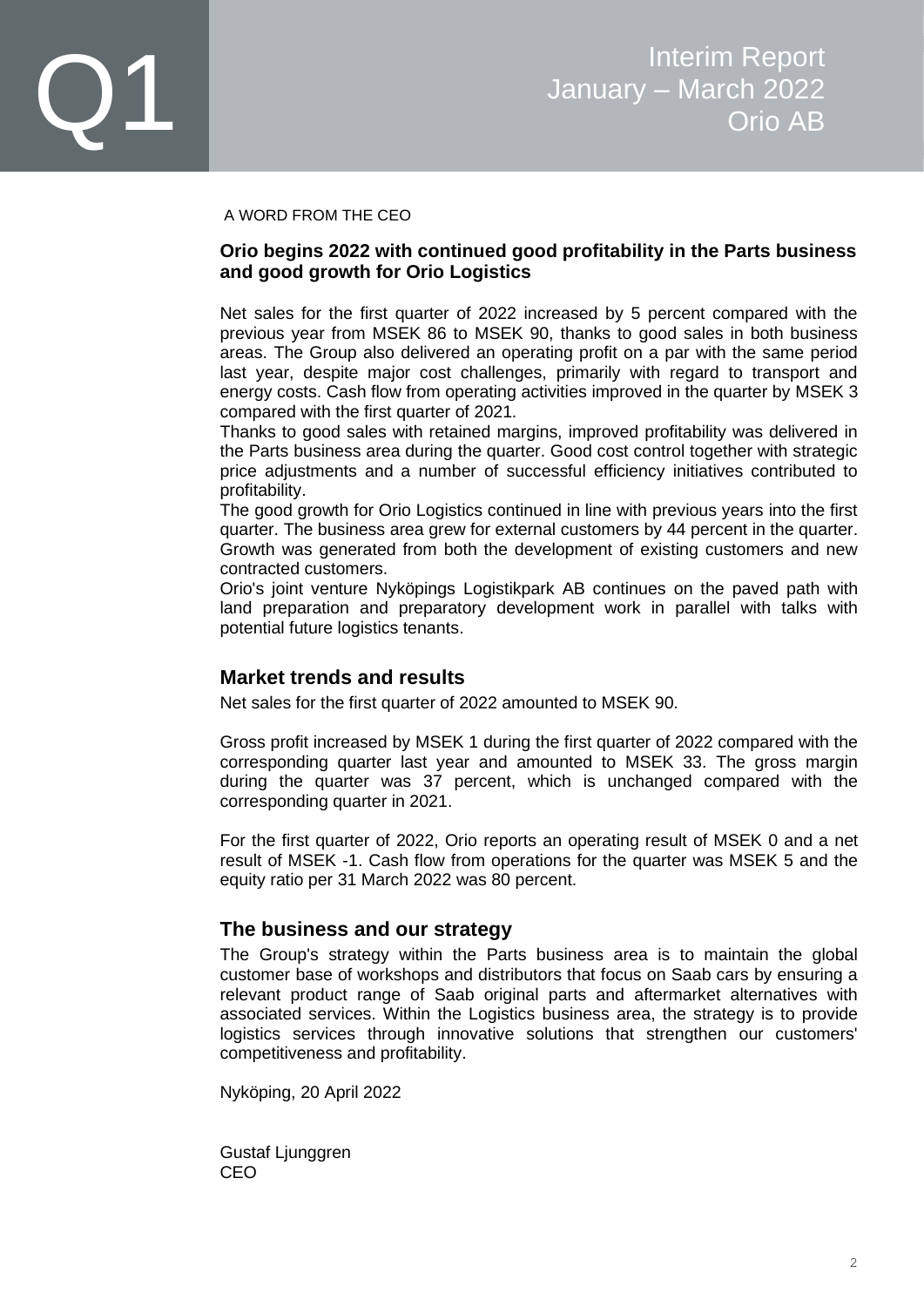#### A WORD FROM THE CEO

#### **Orio begins 2022 with continued good profitability in the Parts business and good growth for Orio Logistics**

Net sales for the first quarter of 2022 increased by 5 percent compared with the previous year from MSEK 86 to MSEK 90, thanks to good sales in both business areas. The Group also delivered an operating profit on a par with the same period last year, despite major cost challenges, primarily with regard to transport and energy costs. Cash flow from operating activities improved in the quarter by MSEK 3 compared with the first quarter of 2021.

Thanks to good sales with retained margins, improved profitability was delivered in the Parts business area during the quarter. Good cost control together with strategic price adjustments and a number of successful efficiency initiatives contributed to profitability.

The good growth for Orio Logistics continued in line with previous years into the first quarter. The business area grew for external customers by 44 percent in the quarter. Growth was generated from both the development of existing customers and new contracted customers.

Orio's joint venture Nyköpings Logistikpark AB continues on the paved path with land preparation and preparatory development work in parallel with talks with potential future logistics tenants.

### **Market trends and results**

Net sales for the first quarter of 2022 amounted to MSEK 90.

Gross profit increased by MSEK 1 during the first quarter of 2022 compared with the corresponding quarter last year and amounted to MSEK 33. The gross margin during the quarter was 37 percent, which is unchanged compared with the corresponding quarter in 2021.

For the first quarter of 2022, Orio reports an operating result of MSEK 0 and a net result of MSEK -1. Cash flow from operations for the quarter was MSEK 5 and the equity ratio per 31 March 2022 was 80 percent.

### **The business and our strategy**

The Group's strategy within the Parts business area is to maintain the global customer base of workshops and distributors that focus on Saab cars by ensuring a relevant product range of Saab original parts and aftermarket alternatives with associated services. Within the Logistics business area, the strategy is to provide logistics services through innovative solutions that strengthen our customers' competitiveness and profitability.

Nyköping, 20 April 2022

Gustaf Ljunggren CEO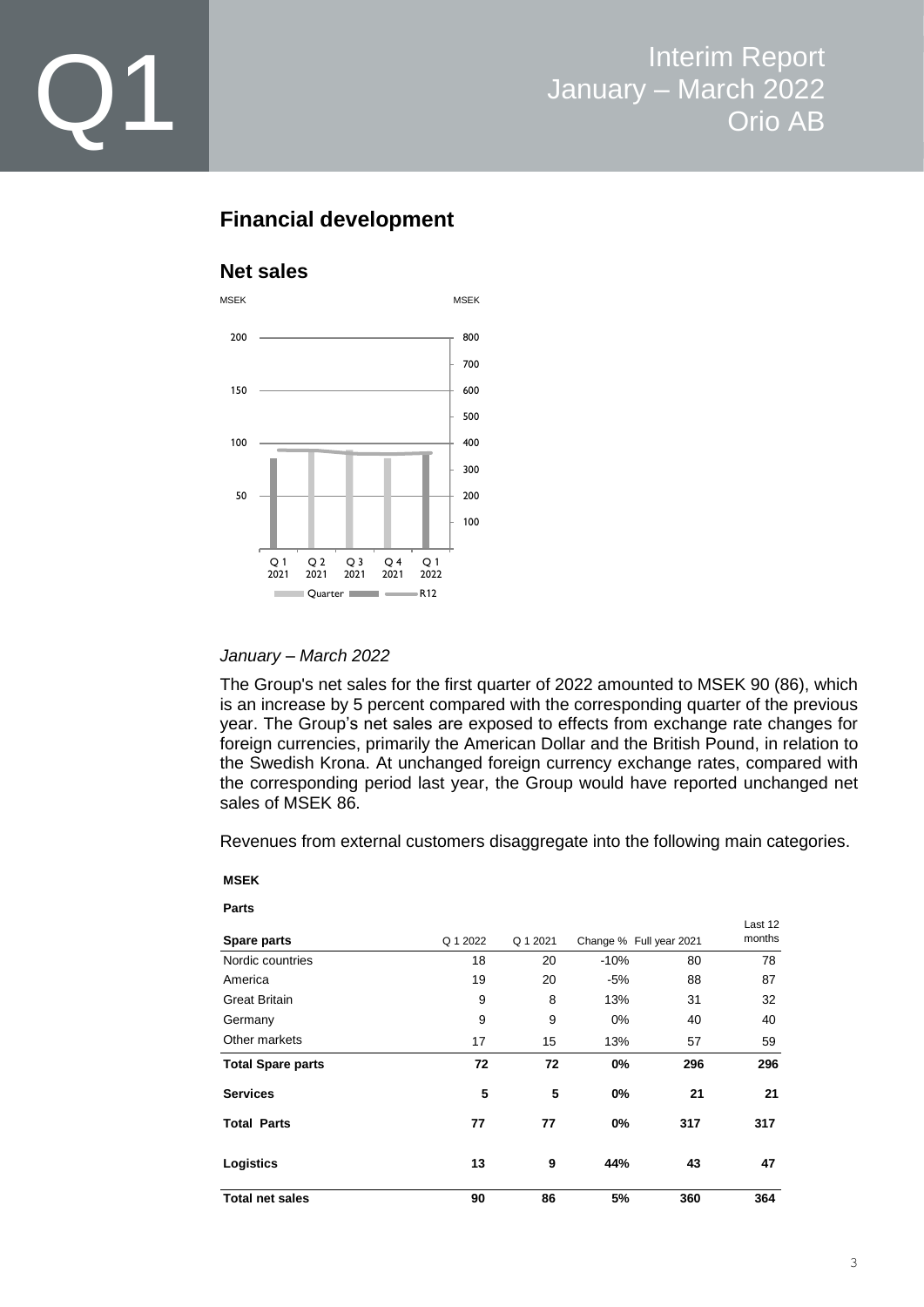

### **Financial development**

### **Net sales**



#### *January – March 2022*

The Group's net sales for the first quarter of 2022 amounted to MSEK 90 (86), which is an increase by 5 percent compared with the corresponding quarter of the previous year. The Group's net sales are exposed to effects from exchange rate changes for foreign currencies, primarily the American Dollar and the British Pound, in relation to the Swedish Krona. At unchanged foreign currency exchange rates, compared with the corresponding period last year, the Group would have reported unchanged net sales of MSEK 86.

Revenues from external customers disaggregate into the following main categories.

#### **MSEK**

| ـ<br>ı |  |
|--------|--|

| Spare parts              | Q 1 2022 | Q 1 2021 |        | Change % Full year 2021 | Last 12<br>months |
|--------------------------|----------|----------|--------|-------------------------|-------------------|
| Nordic countries         | 18       | 20       | $-10%$ | 80                      | 78                |
| America                  | 19       | 20       | $-5%$  | 88                      | 87                |
| <b>Great Britain</b>     | 9        | 8        | 13%    | 31                      | 32                |
| Germany                  | 9        | 9        | 0%     | 40                      | 40                |
| Other markets            | 17       | 15       | 13%    | 57                      | 59                |
| <b>Total Spare parts</b> | 72       | 72       | 0%     | 296                     | 296               |
| <b>Services</b>          | 5        | 5        | 0%     | 21                      | 21                |
| <b>Total Parts</b>       | 77       | 77       | 0%     | 317                     | 317               |
| Logistics                | 13       | 9        | 44%    | 43                      | 47                |
| <b>Total net sales</b>   | 90       | 86       | 5%     | 360                     | 364               |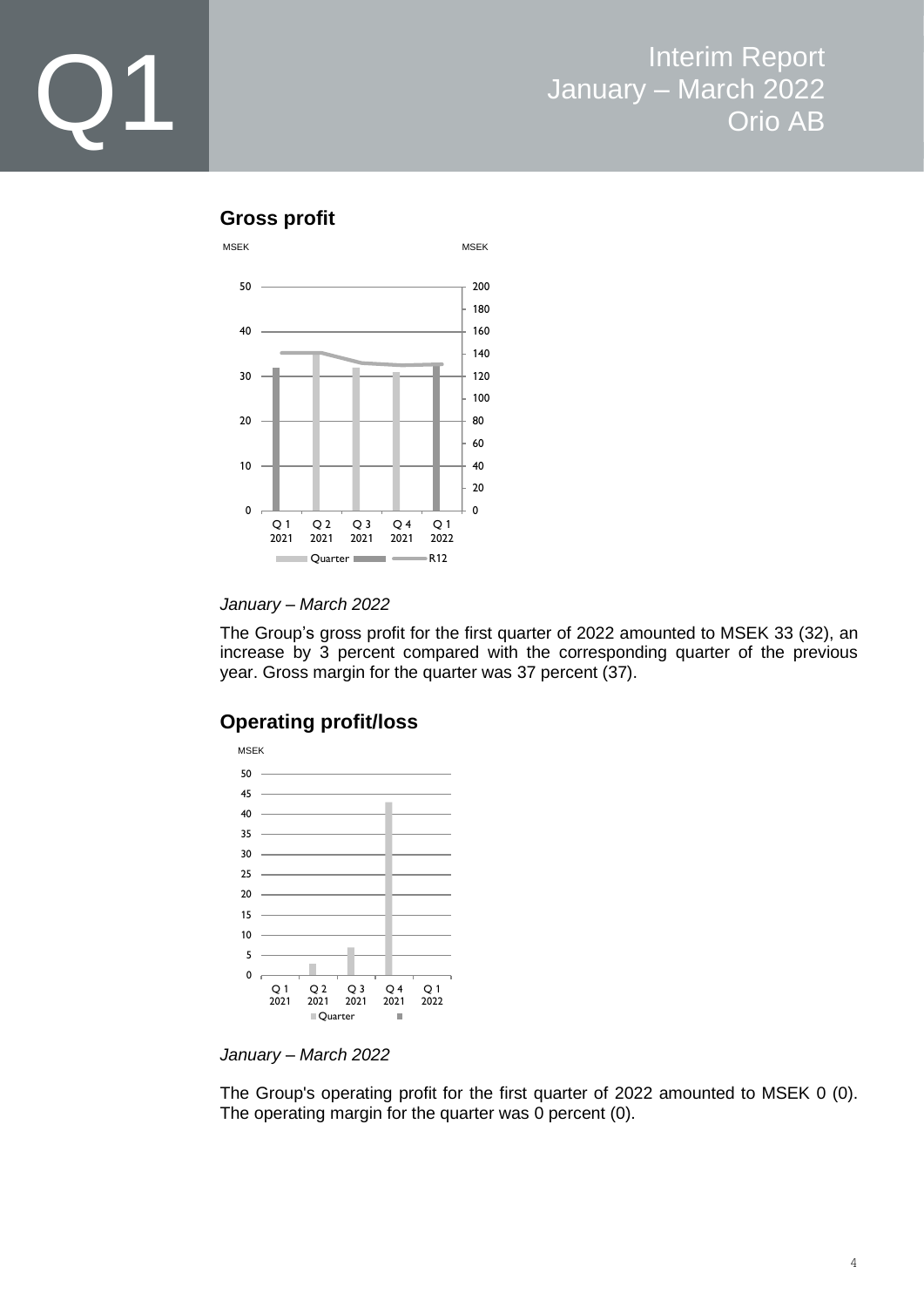### **Gross profit**



*January – March 2022*

The Group's gross profit for the first quarter of 2022 amounted to MSEK 33 (32), an increase by 3 percent compared with the corresponding quarter of the previous year. Gross margin for the quarter was 37 percent (37).

### **Operating profit/loss**



*January – March 2022*

The Group's operating profit for the first quarter of 2022 amounted to MSEK 0 (0). The operating margin for the quarter was 0 percent (0).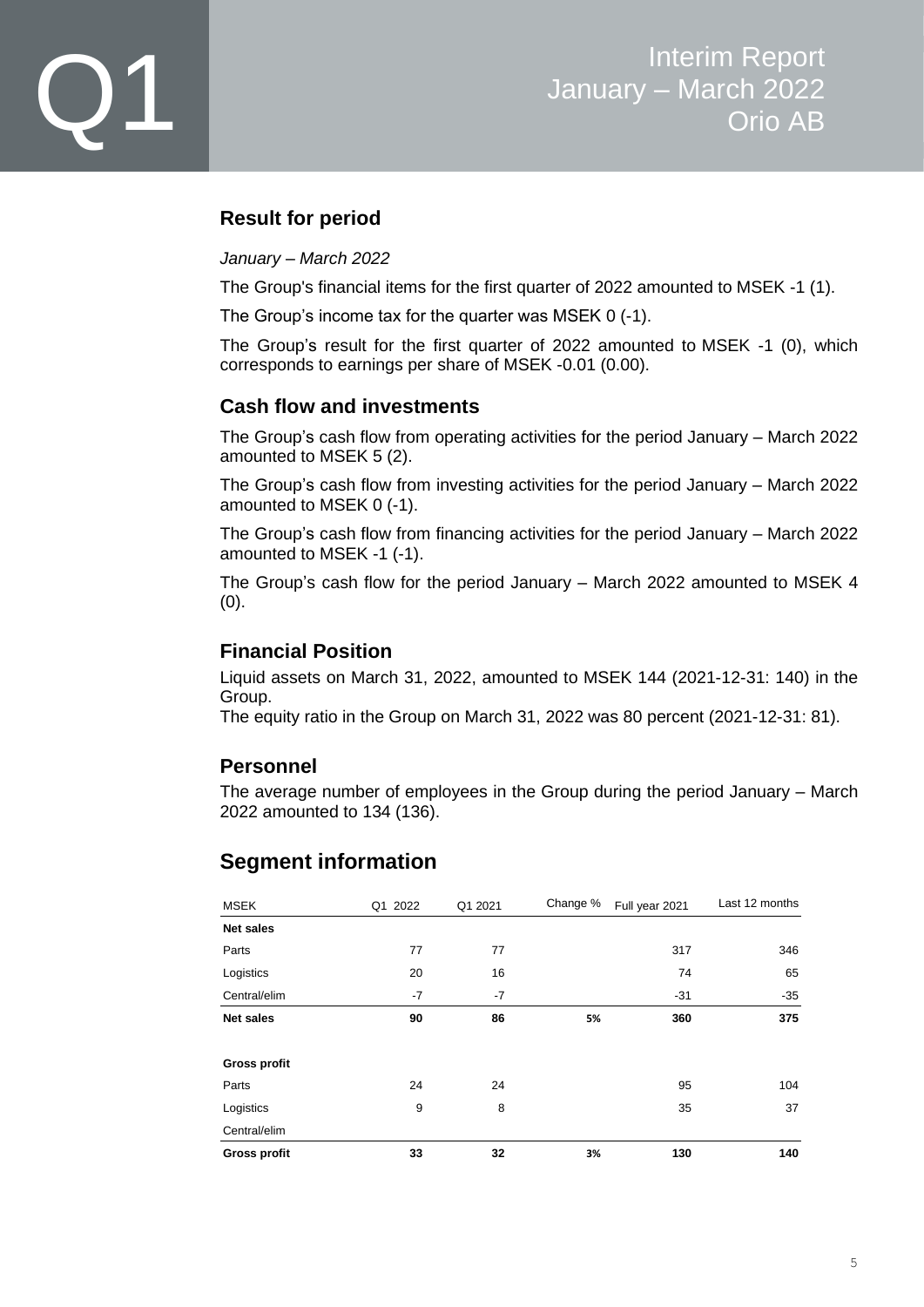### **Result for period**

#### *January – March 2022*

The Group's financial items for the first quarter of 2022 amounted to MSEK -1 (1).

The Group's income tax for the quarter was MSEK 0 (-1).

The Group's result for the first quarter of 2022 amounted to MSEK -1 (0), which corresponds to earnings per share of MSEK -0.01 (0.00).

### **Cash flow and investments**

The Group's cash flow from operating activities for the period January – March 2022 amounted to MSEK 5 (2).

The Group's cash flow from investing activities for the period January – March 2022 amounted to MSEK 0 (-1).

The Group's cash flow from financing activities for the period January – March 2022 amounted to MSEK -1 (-1).

The Group's cash flow for the period January – March 2022 amounted to MSEK 4 (0).

### **Financial Position**

Liquid assets on March 31, 2022, amounted to MSEK 144 (2021-12-31: 140) in the Group.

The equity ratio in the Group on March 31, 2022 was 80 percent (2021-12-31: 81).

### **Personnel**

The average number of employees in the Group during the period January – March 2022 amounted to 134 (136).

### **Segment information**

| <b>MSEK</b>         | Q1 2022 | Q1 2021 | Change % | Full year 2021 | Last 12 months |
|---------------------|---------|---------|----------|----------------|----------------|
| <b>Net sales</b>    |         |         |          |                |                |
| Parts               | 77      | 77      |          | 317            | 346            |
| Logistics           | 20      | 16      |          | 74             | 65             |
| Central/elim        | $-7$    | $-7$    |          | $-31$          | $-35$          |
| <b>Net sales</b>    | 90      | 86      | 5%       | 360            | 375            |
|                     |         |         |          |                |                |
| <b>Gross profit</b> |         |         |          |                |                |
| Parts               | 24      | 24      |          | 95             | 104            |
| Logistics           | 9       | 8       |          | 35             | 37             |
| Central/elim        |         |         |          |                |                |
| <b>Gross profit</b> | 33      | 32      | 3%       | 130            | 140            |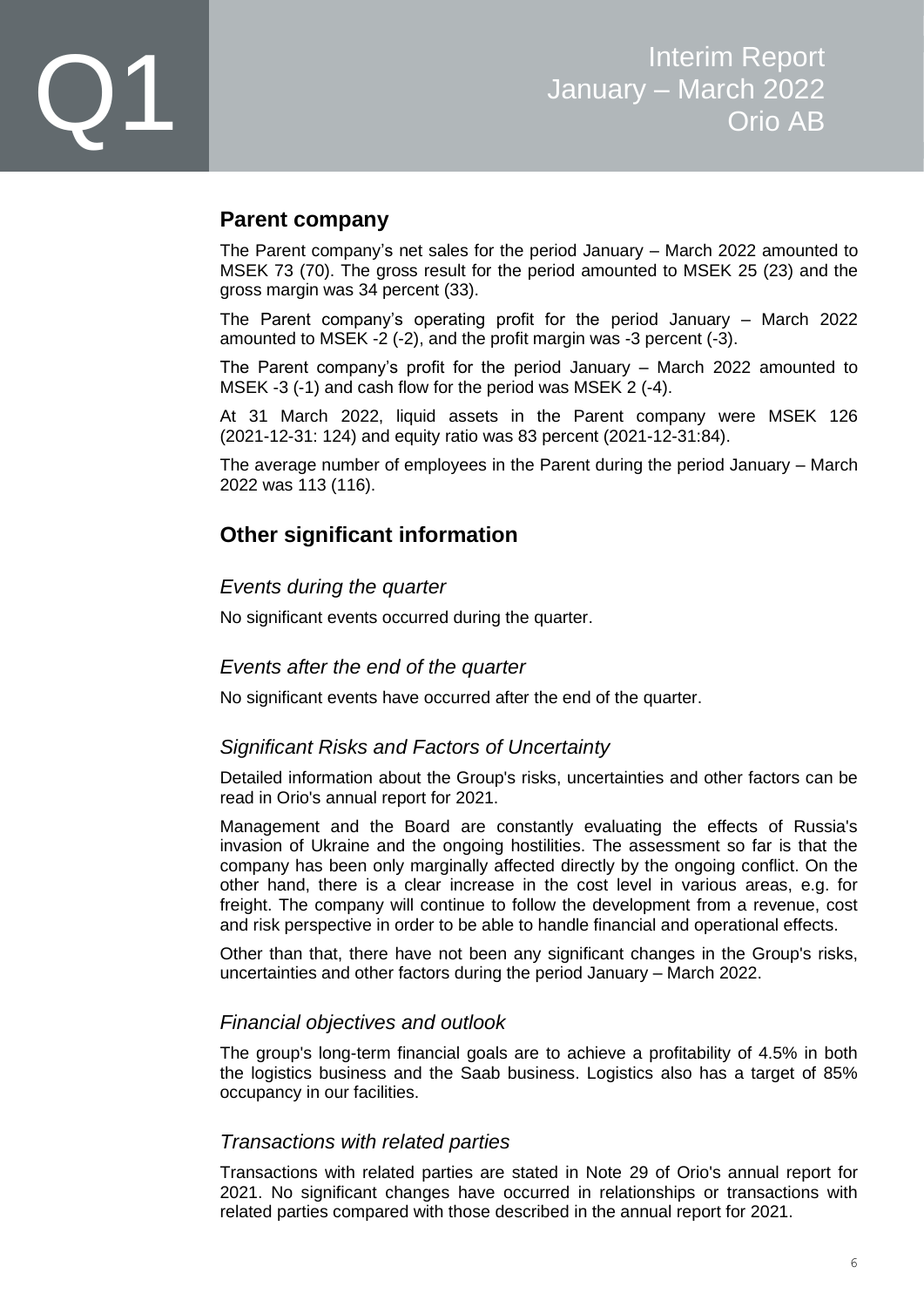### **Parent company**

The Parent company's net sales for the period January – March 2022 amounted to MSEK 73 (70). The gross result for the period amounted to MSEK 25 (23) and the gross margin was 34 percent (33).

The Parent company's operating profit for the period January – March 2022 amounted to MSEK -2 (-2), and the profit margin was -3 percent (-3).

The Parent company's profit for the period January – March 2022 amounted to MSEK -3 (-1) and cash flow for the period was MSEK 2 (-4).

At 31 March 2022, liquid assets in the Parent company were MSEK 126 (2021-12-31: 124) and equity ratio was 83 percent (2021-12-31:84).

The average number of employees in the Parent during the period January – March 2022 was 113 (116).

### **Other significant information**

### *Events during the quarter*

No significant events occurred during the quarter.

### *Events after the end of the quarter*

No significant events have occurred after the end of the quarter.

### *Significant Risks and Factors of Uncertainty*

Detailed information about the Group's risks, uncertainties and other factors can be read in Orio's annual report for 2021.

Management and the Board are constantly evaluating the effects of Russia's invasion of Ukraine and the ongoing hostilities. The assessment so far is that the company has been only marginally affected directly by the ongoing conflict. On the other hand, there is a clear increase in the cost level in various areas, e.g. for freight. The company will continue to follow the development from a revenue, cost and risk perspective in order to be able to handle financial and operational effects.

Other than that, there have not been any significant changes in the Group's risks, uncertainties and other factors during the period January – March 2022.

### *Financial objectives and outlook*

The group's long-term financial goals are to achieve a profitability of 4.5% in both the logistics business and the Saab business. Logistics also has a target of 85% occupancy in our facilities.

### *Transactions with related parties*

Transactions with related parties are stated in Note 29 of Orio's annual report for 2021. No significant changes have occurred in relationships or transactions with related parties compared with those described in the annual report for 2021.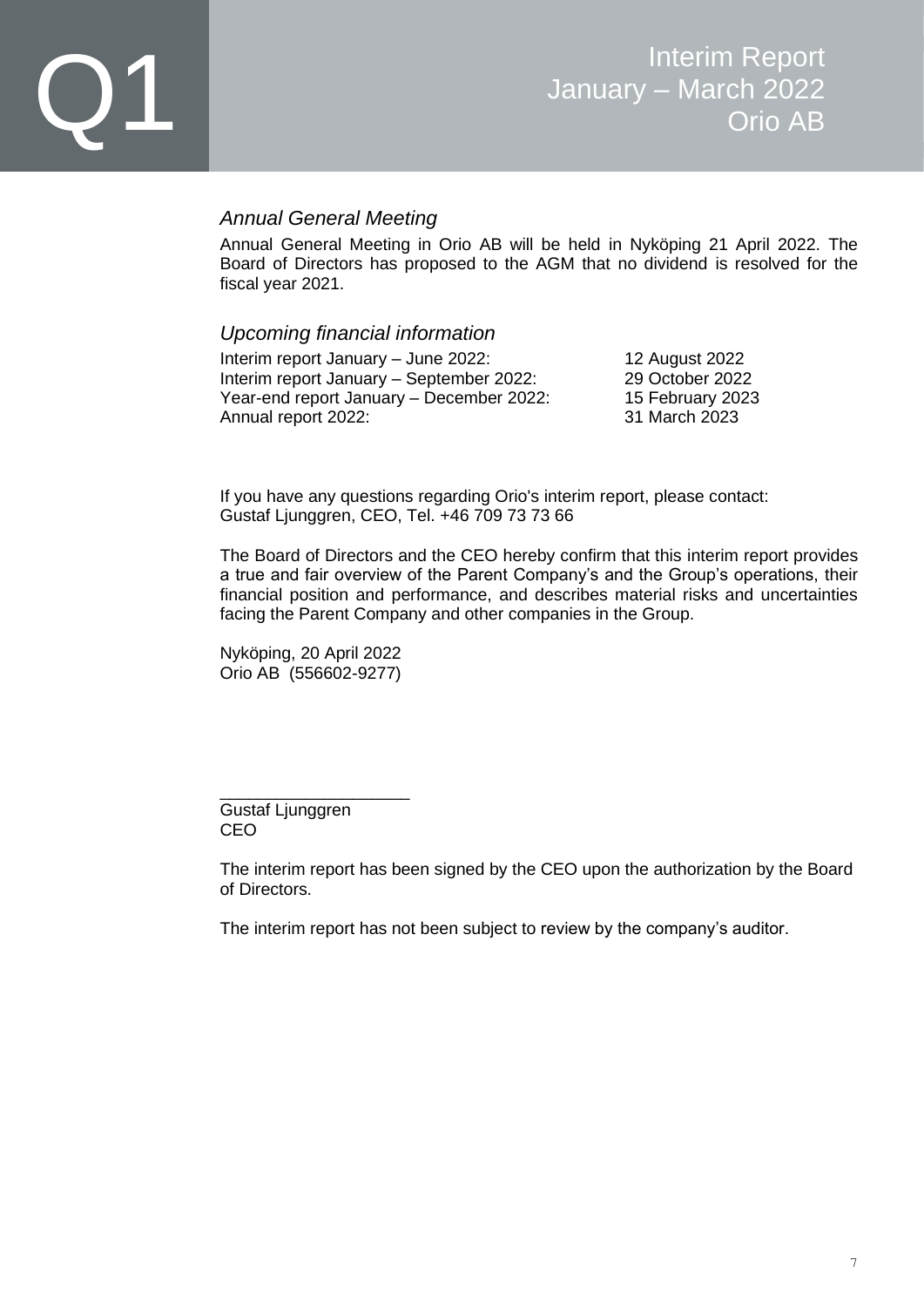#### *Annual General Meeting*

Annual General Meeting in Orio AB will be held in Nyköping 21 April 2022. The Board of Directors has proposed to the AGM that no dividend is resolved for the fiscal year 2021.

*Upcoming financial information* Interim report January – June 2022: 12 August 2022

Interim report January – September 2022: 29 October 2022 Year-end report January – December 2022: 15 February 2023 Annual report 2022: 31 March 2023

If you have any questions regarding Orio's interim report, please contact: Gustaf Ljunggren, CEO, Tel. +46 709 73 73 66

The Board of Directors and the CEO hereby confirm that this interim report provides a true and fair overview of the Parent Company's and the Group's operations, their financial position and performance, and describes material risks and uncertainties facing the Parent Company and other companies in the Group.

Nyköping, 20 April 2022 Orio AB (556602-9277)

\_\_\_\_\_\_\_\_\_\_\_\_\_\_\_\_\_\_\_\_

Gustaf Ljunggren CEO

The interim report has been signed by the CEO upon the authorization by the Board of Directors.

The interim report has not been subject to review by the company's auditor.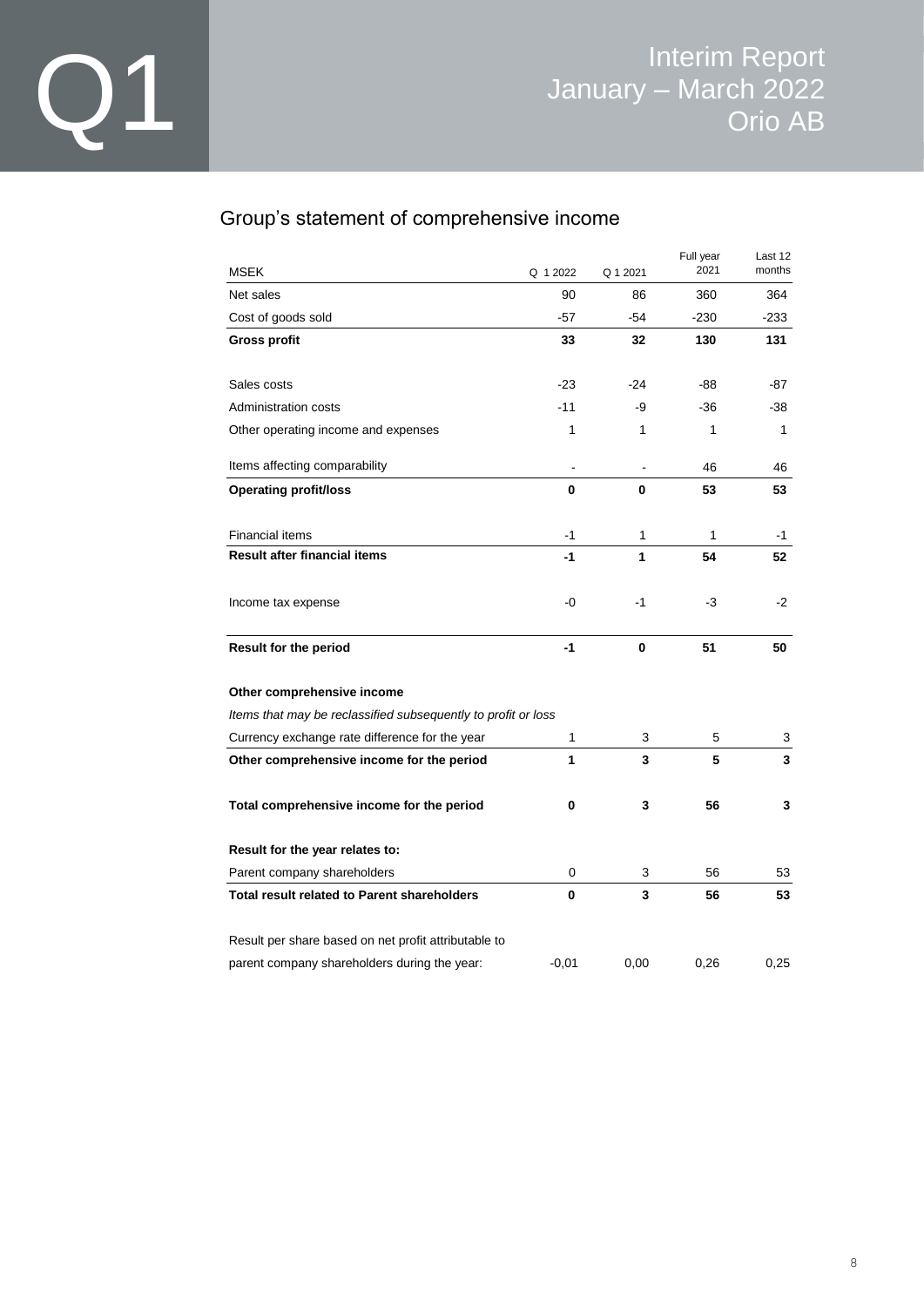### Group's statement of comprehensive income

| <b>MSEK</b>                                                   | Q 1 2022                     | Q 1 2021 | Full year<br>2021 | Last 12<br>months |
|---------------------------------------------------------------|------------------------------|----------|-------------------|-------------------|
| Net sales                                                     | 90                           | 86       | 360               | 364               |
| Cost of goods sold                                            | $-57$                        | -54      | $-230$            | $-233$            |
| <b>Gross profit</b>                                           | 33                           | 32       | 130               | 131               |
| Sales costs                                                   | $-23$                        | -24      | -88               | -87               |
| Administration costs                                          | $-11$                        | -9       | -36               | -38               |
| Other operating income and expenses                           | 1                            | 1        | 1                 | 1                 |
| Items affecting comparability                                 | $\qquad \qquad \blacksquare$ |          | 46                | 46                |
| <b>Operating profit/loss</b>                                  | $\mathbf{0}$                 | 0        | 53                | 53                |
| <b>Financial items</b>                                        | $-1$                         | 1        | 1                 | -1                |
| <b>Result after financial items</b>                           | $-1$                         | 1        | 54                | 52                |
| Income tax expense                                            | -0                           | $-1$     | $-3$              | $-2$              |
| <b>Result for the period</b>                                  | $-1$                         | 0        | 51                | 50                |
| Other comprehensive income                                    |                              |          |                   |                   |
| Items that may be reclassified subsequently to profit or loss |                              |          |                   |                   |
| Currency exchange rate difference for the year                | 1                            | 3        | 5                 | 3                 |
| Other comprehensive income for the period                     | 1                            | 3        | 5                 | 3                 |
| Total comprehensive income for the period                     | 0                            | 3        | 56                | 3                 |
| Result for the year relates to:                               |                              |          |                   |                   |
| Parent company shareholders                                   | 0                            | 3        | 56                | 53                |
| <b>Total result related to Parent shareholders</b>            | 0                            | 3        | 56                | 53                |
| Result per share based on net profit attributable to          |                              |          |                   |                   |
| parent company shareholders during the year:                  | $-0.01$                      | 0.00     | 0.26              | 0,25              |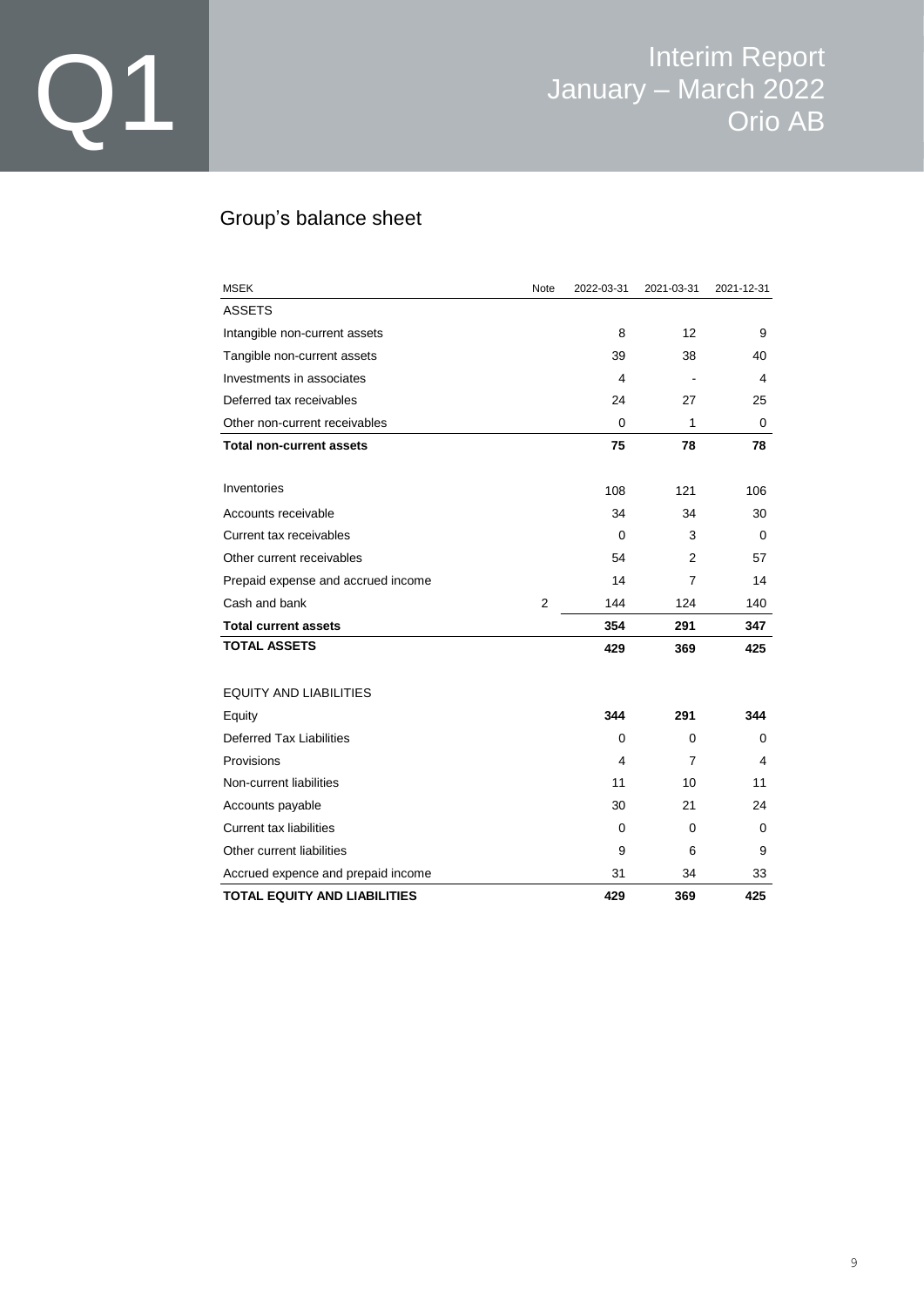### Group's balance sheet

| <b>MSEK</b>                        | Note           | 2022-03-31 | 2021-03-31 | 2021-12-31 |
|------------------------------------|----------------|------------|------------|------------|
| <b>ASSETS</b>                      |                |            |            |            |
| Intangible non-current assets      |                | 8          | 12         | 9          |
| Tangible non-current assets        |                | 39         | 38         | 40         |
| Investments in associates          |                | 4          |            | 4          |
| Deferred tax receivables           |                | 24         | 27         | 25         |
| Other non-current receivables      |                | 0          | 1          | 0          |
| <b>Total non-current assets</b>    |                | 75         | 78         | 78         |
|                                    |                |            |            |            |
| Inventories                        |                | 108        | 121        | 106        |
| Accounts receivable                |                | 34         | 34         | 30         |
| Current tax receivables            |                | 0          | 3          | 0          |
| Other current receivables          |                | 54         | 2          | 57         |
| Prepaid expense and accrued income |                | 14         | 7          | 14         |
| Cash and bank                      | $\overline{2}$ | 144        | 124        | 140        |
| <b>Total current assets</b>        |                | 354        | 291        | 347        |
| <b>TOTAL ASSETS</b>                |                | 429        | 369        | 425        |
| <b>EQUITY AND LIABILITIES</b>      |                |            |            |            |
| Equity                             |                | 344        | 291        | 344        |
| Deferred Tax Liabilities           |                | 0          | 0          | 0          |
| Provisions                         |                | 4          | 7          | 4          |
| Non-current liabilities            |                | 11         | 10         | 11         |
| Accounts payable                   |                | 30         | 21         | 24         |
| <b>Current tax liabilities</b>     |                | 0          | 0          | 0          |
| Other current liabilities          |                | 9          | 6          | 9          |
| Accrued expence and prepaid income |                | 31         | 34         | 33         |
| TOTAL EQUITY AND LIABILITIES       |                | 429        | 369        | 425        |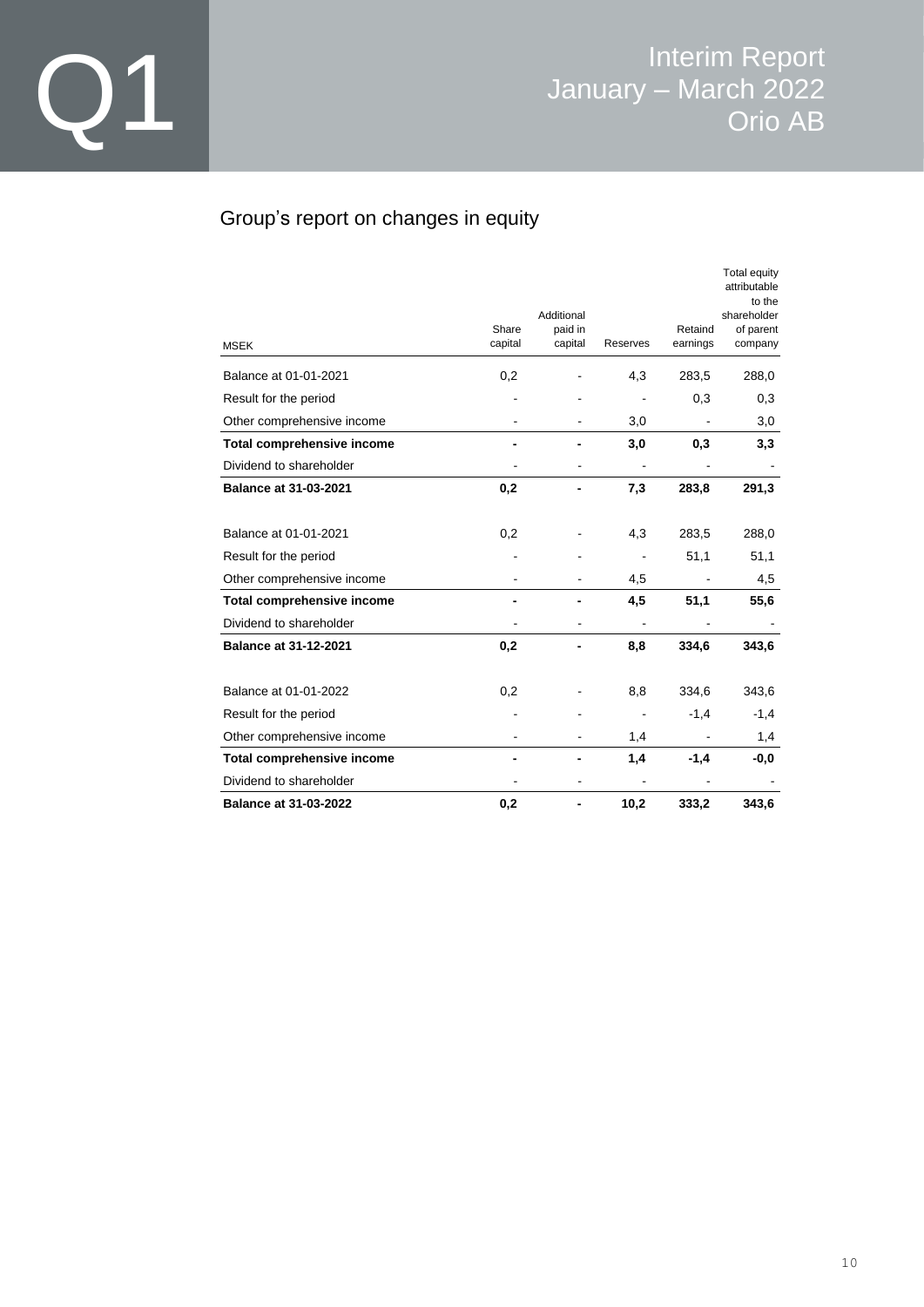### Group's report on changes in equity

|                                   |         |                       |                          |          | Total equity<br>attributable<br>to the |
|-----------------------------------|---------|-----------------------|--------------------------|----------|----------------------------------------|
|                                   | Share   | Additional<br>paid in |                          | Retaind  | shareholder<br>of parent               |
| <b>MSEK</b>                       | capital | capital               | Reserves                 | earnings | company                                |
| Balance at 01-01-2021             | 0,2     |                       | 4,3                      | 283,5    | 288,0                                  |
| Result for the period             |         |                       |                          | 0,3      | 0,3                                    |
| Other comprehensive income        |         |                       | 3,0                      |          | 3,0                                    |
| <b>Total comprehensive income</b> |         |                       | 3,0                      | 0,3      | 3,3                                    |
| Dividend to shareholder           |         |                       | $\overline{\phantom{0}}$ |          |                                        |
| <b>Balance at 31-03-2021</b>      | 0,2     |                       | 7,3                      | 283,8    | 291,3                                  |
| Balance at 01-01-2021             | 0,2     |                       | 4,3                      | 283,5    | 288,0                                  |
| Result for the period             |         |                       |                          | 51,1     | 51,1                                   |
| Other comprehensive income        |         |                       | 4,5                      |          | 4,5                                    |
| <b>Total comprehensive income</b> |         |                       | 4,5                      | 51,1     | 55,6                                   |
| Dividend to shareholder           |         |                       |                          |          |                                        |
| <b>Balance at 31-12-2021</b>      | 0,2     |                       | 8,8                      | 334,6    | 343,6                                  |
| Balance at 01-01-2022             | 0,2     |                       | 8,8                      | 334,6    | 343,6                                  |
| Result for the period             |         |                       |                          | $-1,4$   | $-1,4$                                 |
| Other comprehensive income        |         |                       | 1,4                      |          | 1,4                                    |
| <b>Total comprehensive income</b> |         |                       | 1,4                      | $-1,4$   | $-0,0$                                 |
| Dividend to shareholder           |         |                       |                          |          |                                        |
| <b>Balance at 31-03-2022</b>      | 0,2     |                       | 10,2                     | 333,2    | 343,6                                  |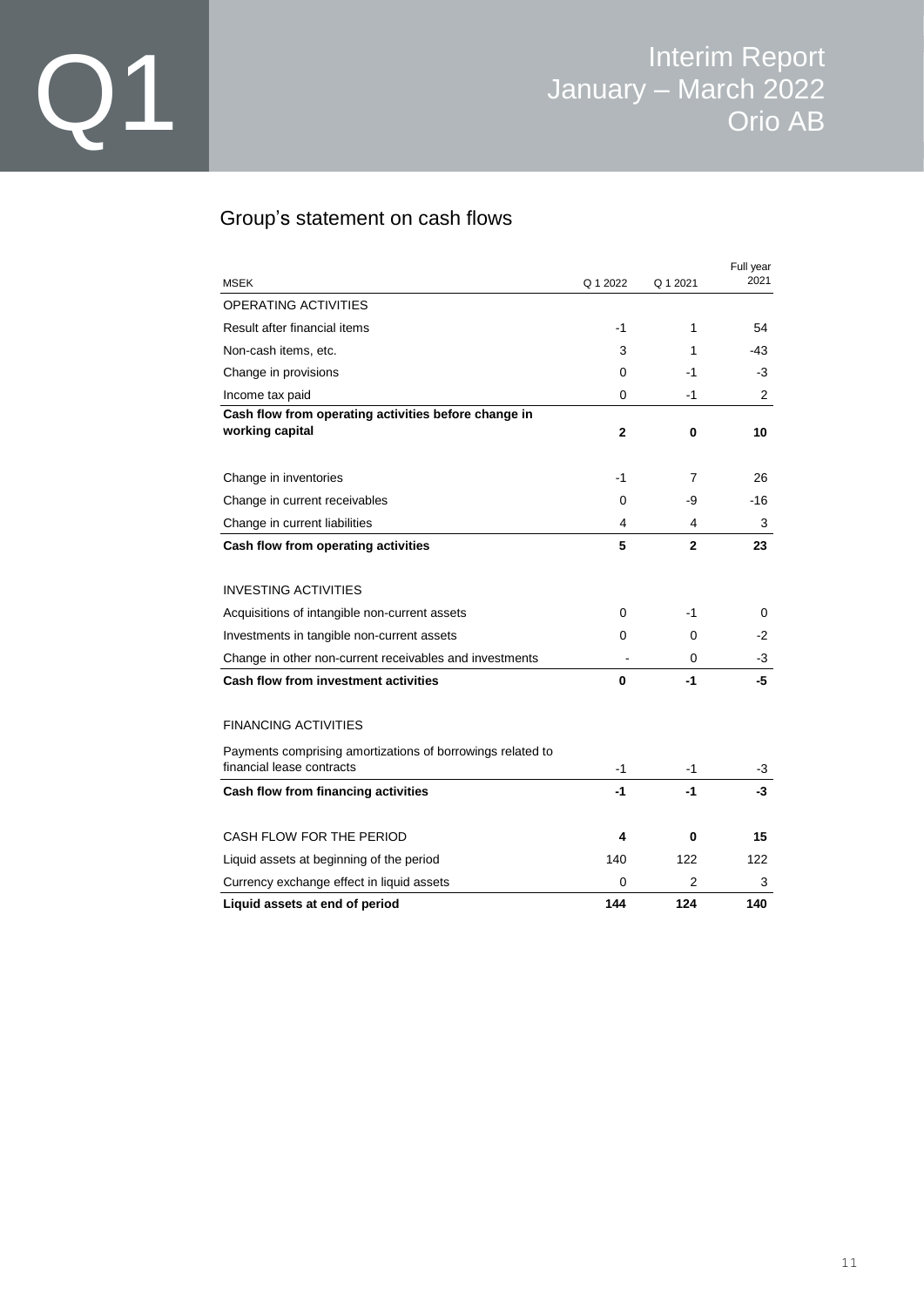### Group's statement on cash flows

| <b>MSEK</b>                                                                             | Q 1 2022 | Q 1 2021       | Full year<br>2021 |
|-----------------------------------------------------------------------------------------|----------|----------------|-------------------|
| <b>OPERATING ACTIVITIES</b>                                                             |          |                |                   |
| Result after financial items                                                            | $-1$     | 1              | 54                |
| Non-cash items, etc.                                                                    | 3        | 1              | $-43$             |
| Change in provisions                                                                    | 0        | -1             | -3                |
| Income tax paid                                                                         | 0        | -1             | 2                 |
| Cash flow from operating activities before change in<br>working capital                 | 2        | 0              | 10                |
| Change in inventories                                                                   | -1       | 7              | 26                |
| Change in current receivables                                                           | 0        | -9             | -16               |
| Change in current liabilities                                                           | 4        | 4              | 3                 |
| Cash flow from operating activities                                                     | 5        | $\overline{2}$ | 23                |
| <b>INVESTING ACTIVITIES</b>                                                             |          |                |                   |
| Acquisitions of intangible non-current assets                                           | 0        | $-1$           | 0                 |
| Investments in tangible non-current assets                                              | 0        | 0              | -2                |
| Change in other non-current receivables and investments                                 |          | 0              | -3                |
| <b>Cash flow from investment activities</b>                                             | 0        | $-1$           | -5                |
| <b>FINANCING ACTIVITIES</b>                                                             |          |                |                   |
| Payments comprising amortizations of borrowings related to<br>financial lease contracts | $-1$     | -1             | -3                |
| Cash flow from financing activities                                                     | $-1$     | $-1$           | -3                |
| CASH FLOW FOR THE PERIOD                                                                | 4        | 0              | 15                |
| Liquid assets at beginning of the period                                                | 140      | 122            | 122               |
| Currency exchange effect in liquid assets                                               | 0        | 2              | 3                 |
| Liquid assets at end of period                                                          | 144      | 124            | 140               |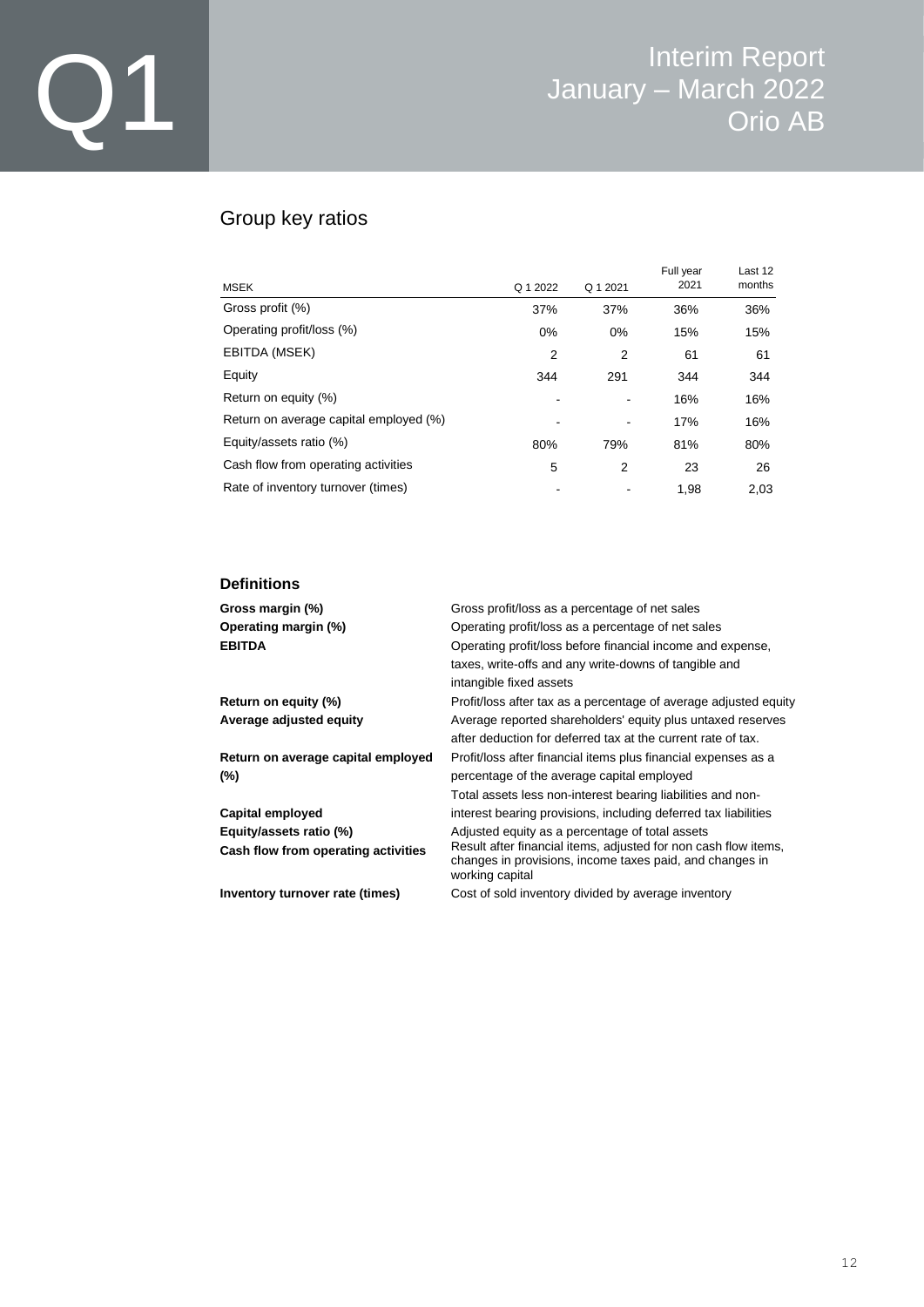### Group key ratios

| <b>MSEK</b>                            | Q 1 2022       | Q 1 2021 | Full year<br>2021 | Last 12<br>months |
|----------------------------------------|----------------|----------|-------------------|-------------------|
| Gross profit (%)                       | 37%            | 37%      | 36%               | 36%               |
| Operating profit/loss (%)              | $0\%$          | $0\%$    | 15%               | 15%               |
| EBITDA (MSEK)                          | $\overline{2}$ | 2        | 61                | 61                |
| Equity                                 | 344            | 291      | 344               | 344               |
| Return on equity (%)                   |                |          | 16%               | 16%               |
| Return on average capital employed (%) |                |          | 17%               | 16%               |
| Equity/assets ratio (%)                | 80%            | 79%      | 81%               | 80%               |
| Cash flow from operating activities    | 5              | 2        | 23                | 26                |
| Rate of inventory turnover (times)     |                |          | 1.98              | 2.03              |

#### **Definitions**

| Gross margin (%)<br>Operating margin (%)<br><b>EBITDA</b>      | Gross profit/loss as a percentage of net sales<br>Operating profit/loss as a percentage of net sales<br>Operating profit/loss before financial income and expense,<br>taxes, write-offs and any write-downs of tangible and<br>intangible fixed assets |
|----------------------------------------------------------------|--------------------------------------------------------------------------------------------------------------------------------------------------------------------------------------------------------------------------------------------------------|
| Return on equity (%)                                           | Profit/loss after tax as a percentage of average adjusted equity                                                                                                                                                                                       |
| Average adjusted equity                                        | Average reported shareholders' equity plus untaxed reserves<br>after deduction for deferred tax at the current rate of tax.                                                                                                                            |
| Return on average capital employed<br>(%)                      | Profit/loss after financial items plus financial expenses as a<br>percentage of the average capital employed<br>Total assets less non-interest bearing liabilities and non-                                                                            |
| Capital employed                                               | interest bearing provisions, including deferred tax liabilities                                                                                                                                                                                        |
| Equity/assets ratio (%)<br>Cash flow from operating activities | Adjusted equity as a percentage of total assets<br>Result after financial items, adjusted for non cash flow items,<br>changes in provisions, income taxes paid, and changes in<br>working capital                                                      |
| Inventory turnover rate (times)                                | Cost of sold inventory divided by average inventory                                                                                                                                                                                                    |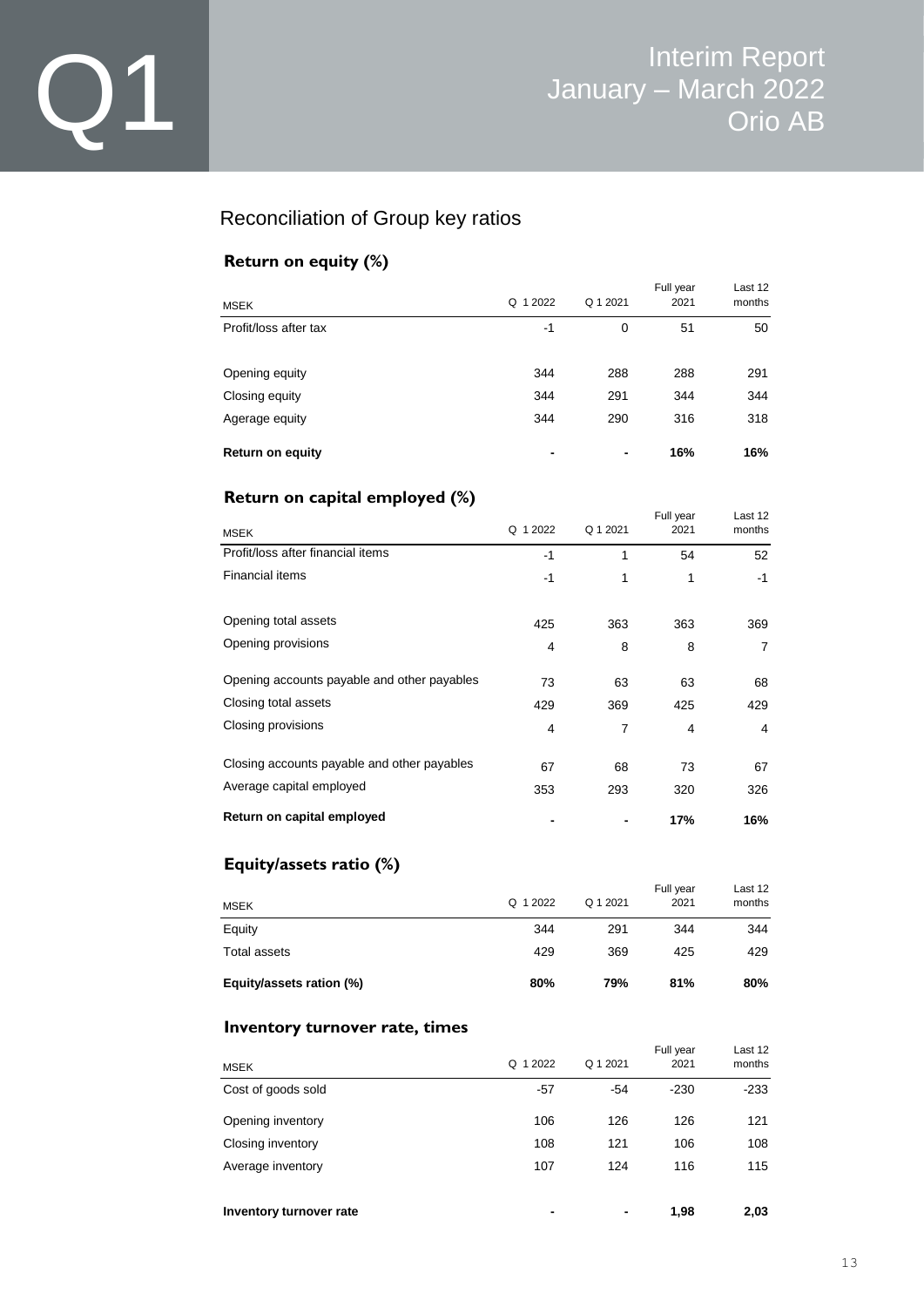### Reconciliation of Group key ratios

### **Return on equity (%)**

| <b>MSEK</b>             | 1 2022<br>$\Omega$       | Q 1 2021 | Full year<br>2021 | Last 12<br>months |
|-------------------------|--------------------------|----------|-------------------|-------------------|
| Profit/loss after tax   | -1                       | 0        | 51                | 50                |
| Opening equity          | 344                      | 288      | 288               | 291               |
| Closing equity          | 344                      | 291      | 344               | 344               |
| Agerage equity          | 344                      | 290      | 316               | 318               |
| <b>Return on equity</b> | $\overline{\phantom{0}}$ | -        | 16%               | 16%               |

### **Return on capital employed (%)**

| <b>MSEK</b>                                 | Q 1 2022 | Q 1 2021       | Full year<br>2021 | Last 12<br>months |
|---------------------------------------------|----------|----------------|-------------------|-------------------|
| Profit/loss after financial items           | -1       | 1              | 54                | 52                |
| <b>Financial items</b>                      | -1       | 1              | 1                 | $-1$              |
| Opening total assets                        | 425      | 363            | 363               | 369               |
| Opening provisions                          | 4        | 8              | 8                 | 7                 |
| Opening accounts payable and other payables | 73       | 63             | 63                | 68                |
| Closing total assets                        | 429      | 369            | 425               | 429               |
| Closing provisions                          | 4        | $\overline{7}$ | 4                 | 4                 |
| Closing accounts payable and other payables | 67       | 68             | 73                | 67                |
| Average capital employed                    | 353      | 293            | 320               | 326               |
| Return on capital employed                  |          |                | 17%               | 16%               |

### **Equity/assets ratio (%)**

| <b>MSEK</b>              | Q 1 2022 | Q 1 2021 | Full year<br>2021 | Last 12<br>months |
|--------------------------|----------|----------|-------------------|-------------------|
| Equity                   | 344      | 291      | 344               | 344               |
| Total assets             | 429      | 369      | 425               | 429               |
| Equity/assets ration (%) | 80%      | 79%      | 81%               | 80%               |

#### **Inventory turnover rate, times**

| <b>MSEK</b>             | Q 1 2022                 | Q 1 2021 | Full year<br>2021 | Last 12<br>months |
|-------------------------|--------------------------|----------|-------------------|-------------------|
| Cost of goods sold      | $-57$                    | $-54$    | $-230$            | $-233$            |
| Opening inventory       | 106                      | 126      | 126               | 121               |
| Closing inventory       | 108                      | 121      | 106               | 108               |
| Average inventory       | 107                      | 124      | 116               | 115               |
| Inventory turnover rate | $\overline{\phantom{0}}$ | ٠        | 1,98              | 2,03              |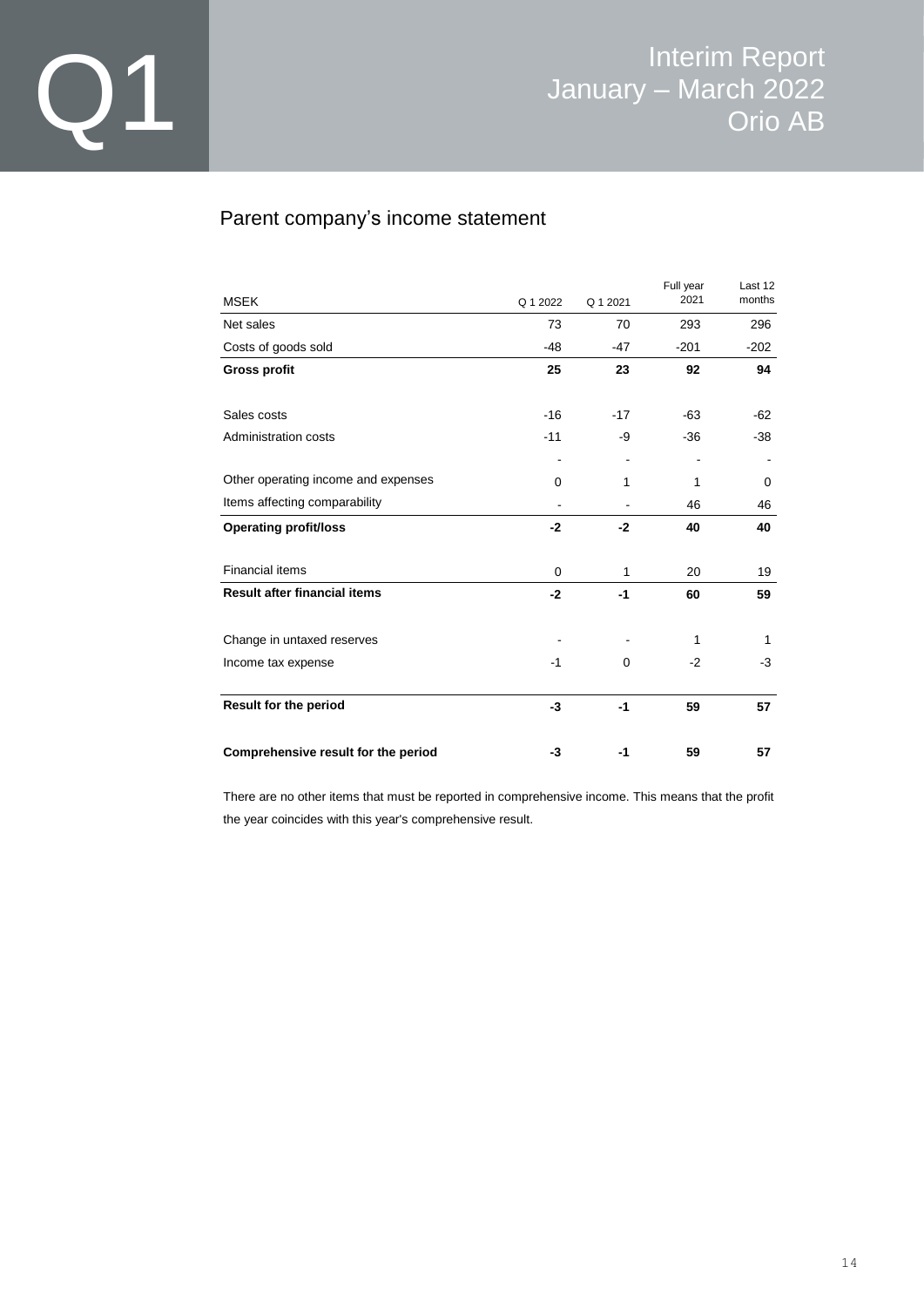### Parent company's income statement

| <b>MSEK</b>                         | Q 1 2022 | Q 1 2021       | Full year<br>2021 | Last 12<br>months |
|-------------------------------------|----------|----------------|-------------------|-------------------|
| Net sales                           | 73       | 70             | 293               | 296               |
| Costs of goods sold                 | -48      | $-47$          | $-201$            | $-202$            |
| <b>Gross profit</b>                 | 25       | 23             | 92                | 94                |
| Sales costs                         | $-16$    | $-17$          | $-63$             | $-62$             |
| Administration costs                | $-11$    | -9             | $-36$             | $-38$             |
|                                     |          | $\blacksquare$ |                   | ۰                 |
| Other operating income and expenses | 0        | 1              | 1                 | 0                 |
| Items affecting comparability       |          |                | 46                | 46                |
| <b>Operating profit/loss</b>        | $-2$     | $-2$           | 40                | 40                |
| <b>Financial items</b>              | 0        | 1              | 20                | 19                |
| <b>Result after financial items</b> | $-2$     | $-1$           | 60                | 59                |
| Change in untaxed reserves          |          |                | 1                 | 1                 |
| Income tax expense                  | $-1$     | 0              | $-2$              | -3                |
| Result for the period               | $-3$     | -1             | 59                | 57                |
| Comprehensive result for the period | -3       | -1             | 59                | 57                |

There are no other items that must be reported in comprehensive income. This means that the profit the year coincides with this year's comprehensive result.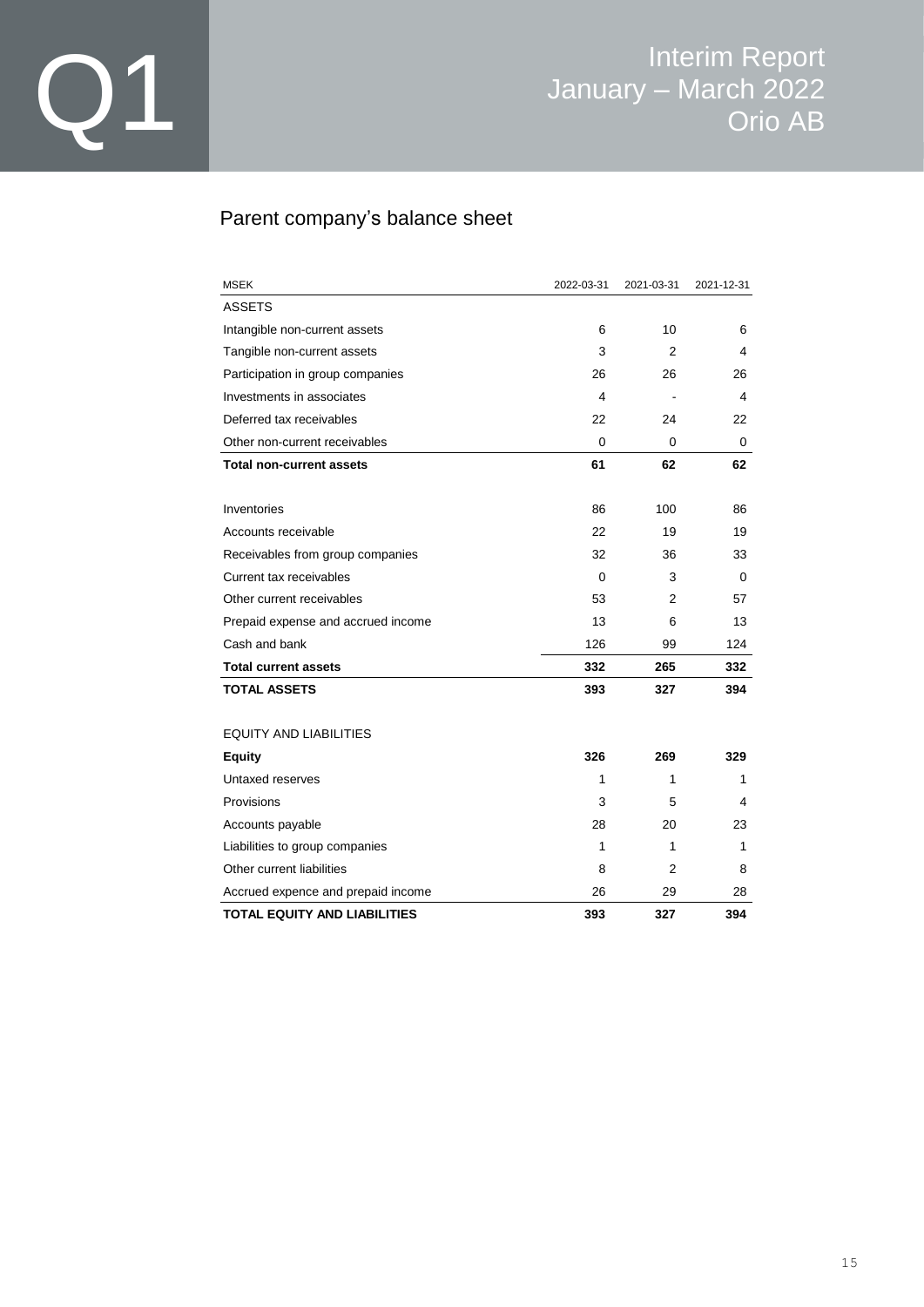### Parent company's balance sheet

| <b>MSEK</b>                         | 2022-03-31 | 2021-03-31 | 2021-12-31 |
|-------------------------------------|------------|------------|------------|
| ASSETS                              |            |            |            |
| Intangible non-current assets       | 6          | 10         | 6          |
| Tangible non-current assets         | 3          | 2          | 4          |
| Participation in group companies    | 26         | 26         | 26         |
| Investments in associates           | 4          |            | 4          |
| Deferred tax receivables            | 22         | 24         | 22         |
| Other non-current receivables       | $\Omega$   | 0          | 0          |
| Total non-current assets            | 61         | 62         | 62         |
| Inventories                         | 86         | 100        | 86         |
| Accounts receivable                 | 22         | 19         | 19         |
| Receivables from group companies    | 32         | 36         | 33         |
| Current tax receivables             | 0          | 3          | 0          |
| Other current receivables           | 53         | 2          | 57         |
| Prepaid expense and accrued income  | 13         | 6          | 13         |
| Cash and bank                       | 126        | 99         | 124        |
| <b>Total current assets</b>         | 332        | 265        | 332        |
| <b>TOTAL ASSETS</b>                 | 393        | 327        | 394        |
| <b>EQUITY AND LIABILITIES</b>       |            |            |            |
| <b>Equity</b>                       | 326        | 269        | 329        |
| Untaxed reserves                    | 1          | 1          | 1          |
| Provisions                          | 3          | 5          | 4          |
| Accounts payable                    | 28         | 20         | 23         |
| Liabilities to group companies      | 1          | 1          | 1          |
| Other current liabilities           | 8          | 2          | 8          |
| Accrued expence and prepaid income  | 26         | 29         | 28         |
| <b>TOTAL EQUITY AND LIABILITIES</b> | 393        | 327        | 394        |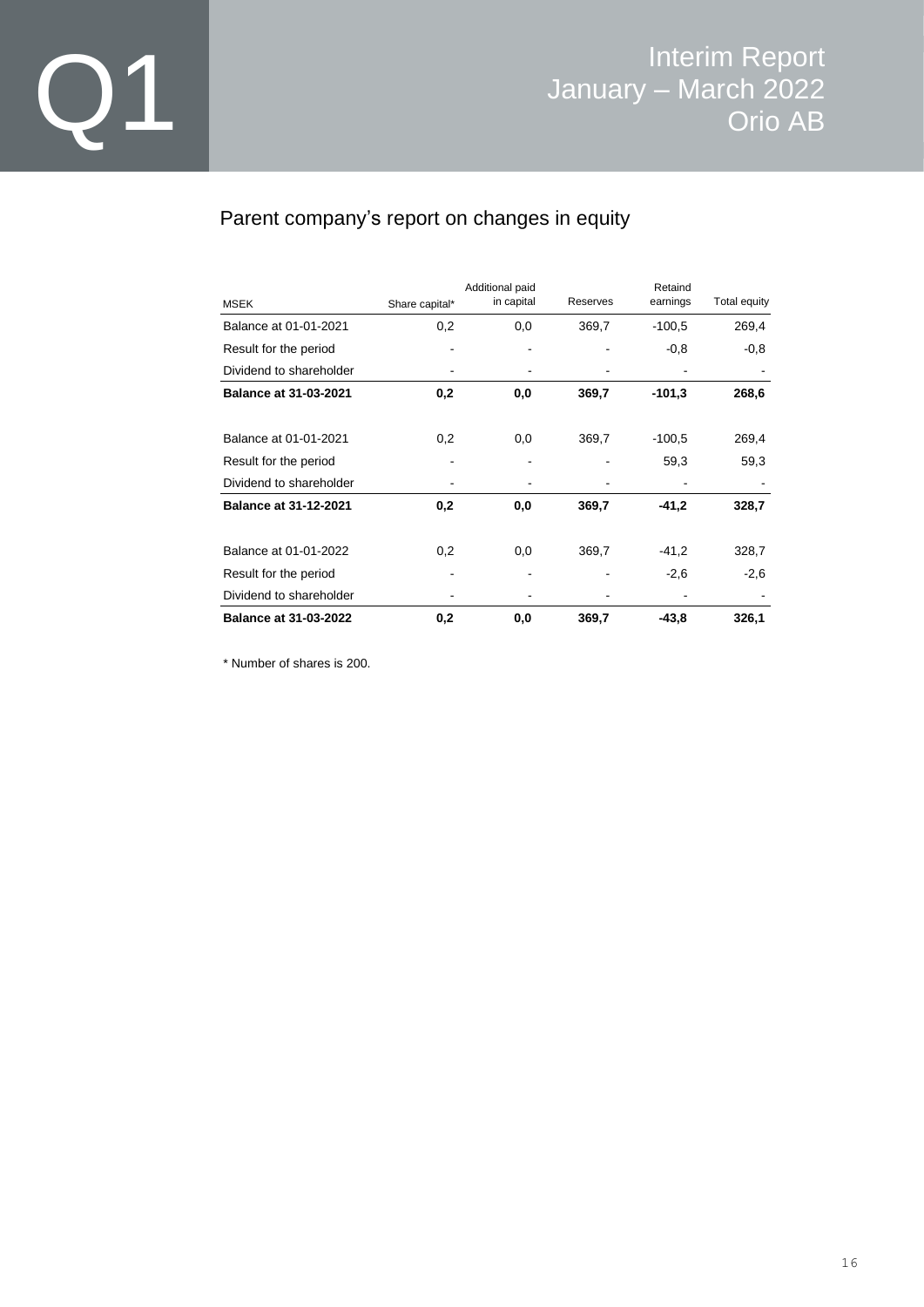### Parent company's report on changes in equity

|                              |                | Additional paid<br>in capital | Reserves | Retaind<br>earnings | Total equity |
|------------------------------|----------------|-------------------------------|----------|---------------------|--------------|
| <b>MSEK</b>                  | Share capital* |                               |          |                     |              |
| Balance at 01-01-2021        | 0,2            | 0,0                           | 369,7    | $-100,5$            | 269,4        |
| Result for the period        |                |                               |          | $-0.8$              | $-0,8$       |
| Dividend to shareholder      |                |                               |          |                     |              |
| <b>Balance at 31-03-2021</b> | 0,2            | 0,0                           | 369,7    | $-101,3$            | 268,6        |
| Balance at 01-01-2021        | 0,2            | 0,0                           | 369,7    | $-100,5$            | 269,4        |
| Result for the period        |                |                               |          | 59,3                | 59,3         |
| Dividend to shareholder      |                |                               |          |                     |              |
| <b>Balance at 31-12-2021</b> | 0,2            | 0,0                           | 369,7    | -41,2               | 328,7        |
| Balance at 01-01-2022        | 0,2            | 0,0                           | 369,7    | $-41,2$             | 328,7        |
| Result for the period        |                |                               |          | $-2,6$              | $-2,6$       |
| Dividend to shareholder      |                |                               |          |                     |              |
| <b>Balance at 31-03-2022</b> | 0,2            | 0,0                           | 369,7    | $-43,8$             | 326,1        |

\* Number of shares is 200.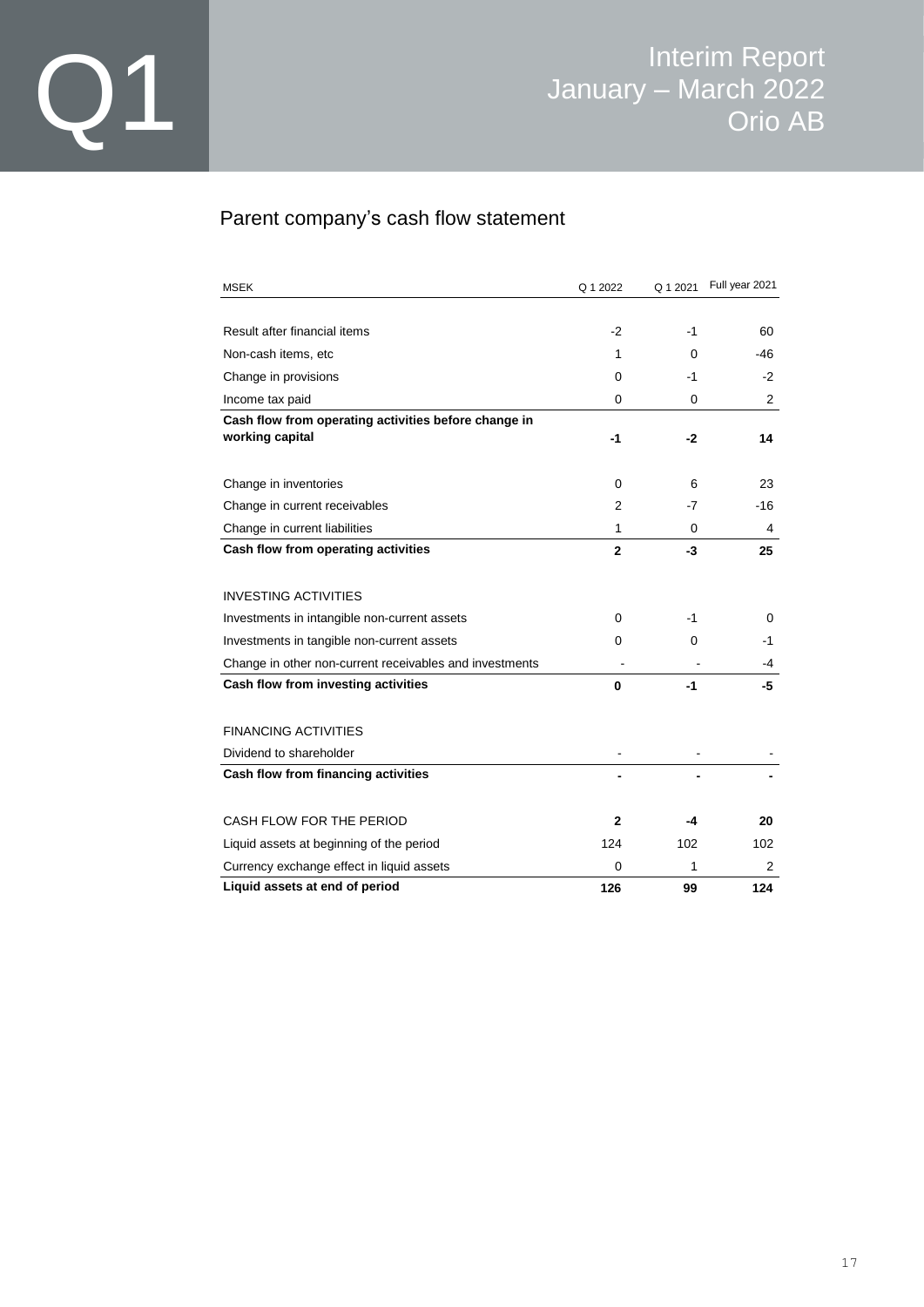### Parent company's cash flow statement

| <b>MSEK</b>                                             | Q 1 2022       | Q 1 2021 | Full year 2021 |
|---------------------------------------------------------|----------------|----------|----------------|
|                                                         |                |          |                |
| Result after financial items                            | $-2$           | -1       | 60             |
| Non-cash items, etc.                                    | 1              | 0        | -46            |
| Change in provisions                                    | 0              | $-1$     | $-2$           |
| Income tax paid                                         | 0              | 0        | 2              |
| Cash flow from operating activities before change in    |                |          |                |
| working capital                                         | -1             | -2       | 14             |
| Change in inventories                                   | 0              | 6        | 23             |
| Change in current receivables                           | $\overline{2}$ | -7       | -16            |
| Change in current liabilities                           | 1              | 0        | 4              |
| Cash flow from operating activities                     | $\mathbf{2}$   | -3       | 25             |
|                                                         |                |          |                |
| <b>INVESTING ACTIVITIES</b>                             |                |          |                |
| Investments in intangible non-current assets            | 0              | -1       | 0              |
| Investments in tangible non-current assets              | 0              | 0        | -1             |
| Change in other non-current receivables and investments |                |          | -4             |
| Cash flow from investing activities                     | 0              | -1       | -5             |
|                                                         |                |          |                |
| <b>FINANCING ACTIVITIES</b>                             |                |          |                |
| Dividend to shareholder                                 |                |          |                |
| Cash flow from financing activities                     |                |          |                |
| CASH FLOW FOR THE PERIOD                                | $\mathbf{2}$   | -4       | 20             |
| Liquid assets at beginning of the period                | 124            | 102      | 102            |
| Currency exchange effect in liquid assets               | 0              | 1        | 2              |
| Liquid assets at end of period                          | 126            | 99       | 124            |